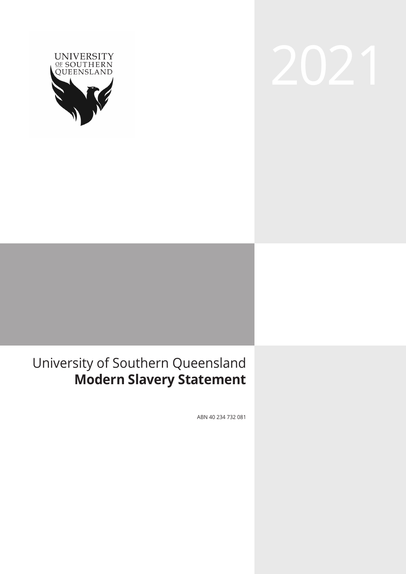

# 2021

#### University of Southern Queensland **Modern Slavery Statement**

ABN 40 234 732 081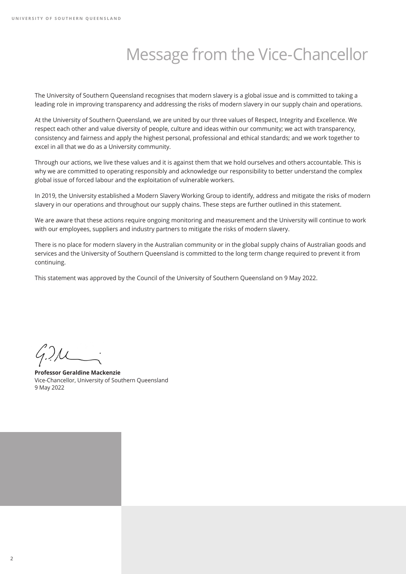## Message from the Vice-Chancellor

The University of Southern Queensland recognises that modern slavery is a global issue and is committed to taking a leading role in improving transparency and addressing the risks of modern slavery in our supply chain and operations.

At the University of Southern Queensland, we are united by our three values of Respect, Integrity and Excellence. We respect each other and value diversity of people, culture and ideas within our community; we act with transparency, consistency and fairness and apply the highest personal, professional and ethical standards; and we work together to excel in all that we do as a University community.

Through our actions, we live these values and it is against them that we hold ourselves and others accountable. This is why we are committed to operating responsibly and acknowledge our responsibility to better understand the complex global issue of forced labour and the exploitation of vulnerable workers.

In 2019, the University established a Modern Slavery Working Group to identify, address and mitigate the risks of modern slavery in our operations and throughout our supply chains. These steps are further outlined in this statement.

We are aware that these actions require ongoing monitoring and measurement and the University will continue to work with our employees, suppliers and industry partners to mitigate the risks of modern slavery.

There is no place for modern slavery in the Australian community or in the global supply chains of Australian goods and services and the University of Southern Queensland is committed to the long term change required to prevent it from continuing.

This statement was approved by the Council of the University of Southern Queensland on 9 May 2022.

**Professor Geraldine Mackenzie** Vice-Chancellor, University of Southern Queensland 9 May 2022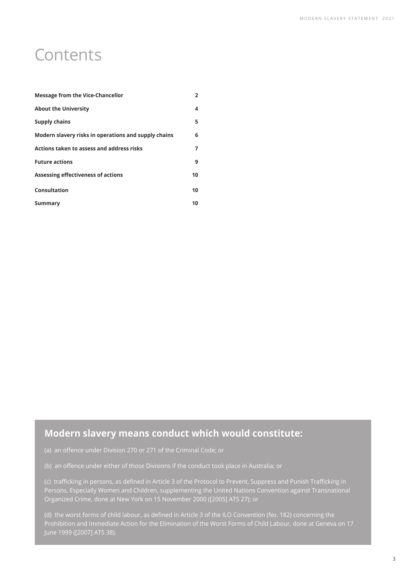#### **Contents**

| <b>Message from the Vice-Chancellor</b>              | $\overline{2}$ |
|------------------------------------------------------|----------------|
| <b>About the University</b>                          | 4              |
| <b>Supply chains</b>                                 | 5              |
| Modern slavery risks in operations and supply chains | 6              |
| Actions taken to assess and address risks            |                |
| <b>Future actions</b>                                | 9              |
| Assessing effectiveness of actions                   | 10             |
| Consultation                                         | 10             |
| Summary                                              | 10             |

#### **Modern slavery means conduct which would constitute:**

(c) trafficking in persons, as defined in Article 3 of the Protocol to Prevent, Suppress and Punish Trafficking in Persons, Especially Women and Children, supplementing the United Nations Convention against Transnational Organized Crime, done at New York on 15 November 2000 ([2005] ATS 27); or

(d) the worst forms of child labour, as defined in Article 3 of the ILO Convention (No. 182) concerning the June 1999 ([2007] ATS 38).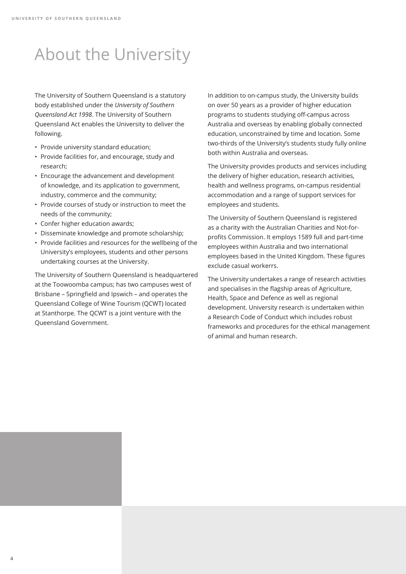## About the University

The University of Southern Queensland is a statutory body established under the *University of Southern Queensland Act 1998*. The University of Southern Queensland Act enables the University to deliver the following.

- Provide university standard education;
- Provide facilities for, and encourage, study and research;
- Encourage the advancement and development of knowledge, and its application to government, industry, commerce and the community;
- Provide courses of study or instruction to meet the needs of the community;
- Confer higher education awards;
- Disseminate knowledge and promote scholarship;
- Provide facilities and resources for the wellbeing of the University's employees, students and other persons undertaking courses at the University.

The University of Southern Queensland is headquartered at the Toowoomba campus; has two campuses west of Brisbane – Springfield and Ipswich – and operates the Queensland College of Wine Tourism (QCWT) located at Stanthorpe. The QCWT is a joint venture with the Queensland Government.

In addition to on-campus study, the University builds on over 50 years as a provider of higher education programs to students studying off-campus across Australia and overseas by enabling globally connected education, unconstrained by time and location. Some two-thirds of the University's students study fully online both within Australia and overseas.

The University provides products and services including the delivery of higher education, research activities, health and wellness programs, on-campus residential accommodation and a range of support services for employees and students.

The University of Southern Queensland is registered as a charity with the Australian Charities and Not-forprofits Commission. It employs 1589 full and part-time employees within Australia and two international employees based in the United Kingdom. These figures exclude casual workerrs.

The University undertakes a range of research activities and specialises in the flagship areas of Agriculture, Health, Space and Defence as well as regional development. University research is undertaken within a Research Code of Conduct which includes robust frameworks and procedures for the ethical management of animal and human research.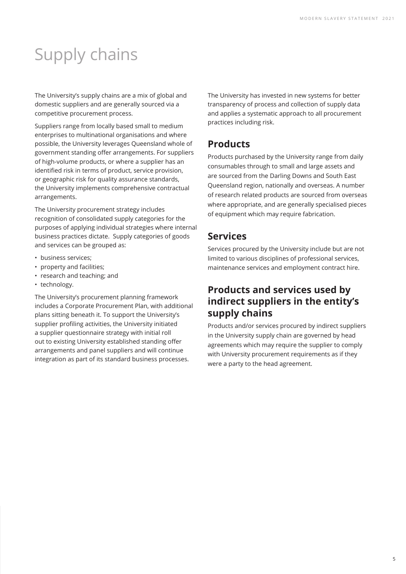# Supply chains

The University's supply chains are a mix of global and domestic suppliers and are generally sourced via a competitive procurement process.

Suppliers range from locally based small to medium enterprises to multinational organisations and where possible, the University leverages Queensland whole of government standing offer arrangements. For suppliers of high-volume products, or where a supplier has an identified risk in terms of product, service provision, or geographic risk for quality assurance standards, the University implements comprehensive contractual arrangements.

The University procurement strategy includes recognition of consolidated supply categories for the purposes of applying individual strategies where internal business practices dictate. Supply categories of goods and services can be grouped as:

- business services;
- property and facilities;
- research and teaching; and
- technology.

The University's procurement planning framework includes a Corporate Procurement Plan, with additional plans sitting beneath it. To support the University's supplier profiling activities, the University initiated a supplier questionnaire strategy with initial roll out to existing University established standing offer arrangements and panel suppliers and will continue integration as part of its standard business processes.

The University has invested in new systems for better transparency of process and collection of supply data and applies a systematic approach to all procurement practices including risk.

#### **Products**

Products purchased by the University range from daily consumables through to small and large assets and are sourced from the Darling Downs and South East Queensland region, nationally and overseas. A number of research related products are sourced from overseas where appropriate, and are generally specialised pieces of equipment which may require fabrication.

#### **Services**

Services procured by the University include but are not limited to various disciplines of professional services, maintenance services and employment contract hire.

#### **Products and services used by indirect suppliers in the entity's supply chains**

Products and/or services procured by indirect suppliers in the University supply chain are governed by head agreements which may require the supplier to comply with University procurement requirements as if they were a party to the head agreement.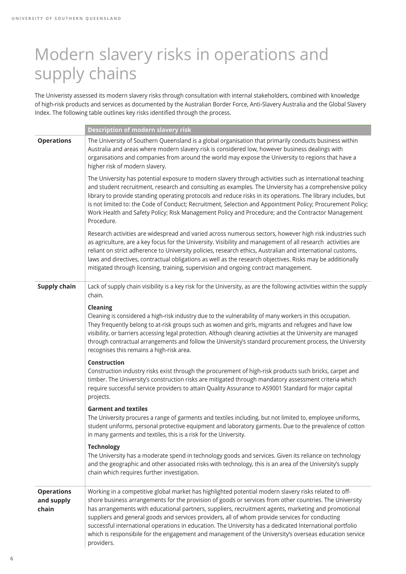## Modern slavery risks in operations and supply chains

The Univeristy assessed its modern slavery risks through consultation with internal stakeholders, combined with knowledge of high-risk products and services as documented by the Australian Border Force, Anti-Slavery Australia and the Global Slavery Index. The following table outlines key risks identified through the process.

|                                          | <b>Description of modern slavery risk</b>                                                                                                                                                                                                                                                                                                                                                                                                                                                                                                                                                                                                                       |
|------------------------------------------|-----------------------------------------------------------------------------------------------------------------------------------------------------------------------------------------------------------------------------------------------------------------------------------------------------------------------------------------------------------------------------------------------------------------------------------------------------------------------------------------------------------------------------------------------------------------------------------------------------------------------------------------------------------------|
| <b>Operations</b>                        | The University of Southern Queensland is a global organisation that primarily conducts business within<br>Australia and areas where modern slavery risk is considered low, however business dealings with<br>organisations and companies from around the world may expose the University to regions that have a<br>higher risk of modern slavery.                                                                                                                                                                                                                                                                                                               |
|                                          | The University has potential exposure to modern slavery through activities such as international teaching<br>and student recruitment, research and consulting as examples. The Unviersity has a comprehensive policy<br>library to provide standing operating protocols and reduce risks in its operations. The library includes, but<br>is not limited to: the Code of Conduct; Recruitment, Selection and Appointment Policy; Procurement Policy;<br>Work Health and Safety Policy; Risk Management Policy and Procedure; and the Contractor Management<br>Procedure.                                                                                         |
|                                          | Research activities are widespread and varied across numerous sectors, however high risk industries such<br>as agriculture, are a key focus for the University. Visibility and management of all research activities are<br>reliant on strict adherence to University policies, research ethics, Australian and international customs,<br>laws and directives, contractual obligations as well as the research objectives. Risks may be additionally<br>mitigated through licensing, training, supervision and ongoing contract management.                                                                                                                     |
| <b>Supply chain</b>                      | Lack of supply chain visibility is a key risk for the University, as are the following activities within the supply<br>chain.                                                                                                                                                                                                                                                                                                                                                                                                                                                                                                                                   |
|                                          | Cleaning<br>Cleaning is considered a high-risk industry due to the vulnerability of many workers in this occupation.<br>They frequently belong to at-risk groups such as women and girls, migrants and refugees and have low<br>visibility, or barriers accessing legal protection. Although cleaning activities at the University are managed<br>through contractual arrangements and follow the University's standard procurement process, the University<br>recognises this remains a high-risk area.                                                                                                                                                        |
|                                          | Construction<br>Construction industry risks exist through the procurement of high-risk products such bricks, carpet and<br>timber. The University's construction risks are mitigated through mandatory assessment criteria which<br>require successful service providers to attain Quality Assurance to AS9001 Standard for major capital<br>projects.                                                                                                                                                                                                                                                                                                          |
|                                          | <b>Garment and textiles</b><br>The University procures a range of garments and textiles including, but not limited to, employee uniforms,<br>student uniforms, personal protective equipment and laboratory garments. Due to the prevalence of cotton<br>in many garments and textiles, this is a risk for the University.                                                                                                                                                                                                                                                                                                                                      |
|                                          | <b>Technology</b><br>The University has a moderate spend in technology goods and services. Given its reliance on technology<br>and the geographic and other associated risks with technology, this is an area of the University's supply<br>chain which requires further investigation.                                                                                                                                                                                                                                                                                                                                                                         |
| <b>Operations</b><br>and supply<br>chain | Working in a competitive global market has highlighted potential modern slavery risks related to off-<br>shore business arrangements for the provision of goods or services from other countries. The University<br>has arrangements with educational partners, suppliers, recruitment agents, marketing and promotional<br>suppliers and general goods and services providers, all of whom provide services for conducting<br>successful international operations in education. The University has a dedicated International portfolio<br>which is responsibile for the engagement and management of the University's overseas education service<br>providers. |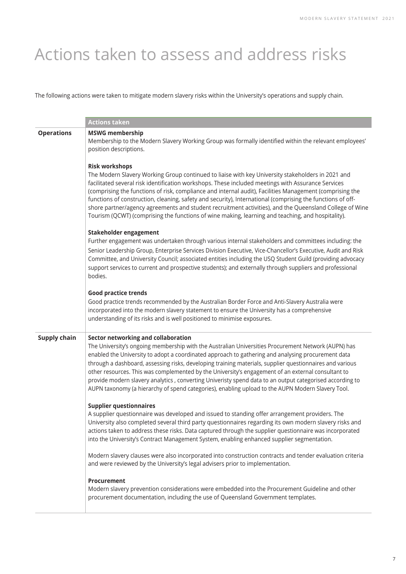## Actions taken to assess and address risks

The following actions were taken to mitigate modern slavery risks within the University's operations and supply chain.

|                     | <b>Actions taken</b>                                                                                                                                                                                                                                                                                                                                                                                                                                                                                                                                                                                                                                                                |
|---------------------|-------------------------------------------------------------------------------------------------------------------------------------------------------------------------------------------------------------------------------------------------------------------------------------------------------------------------------------------------------------------------------------------------------------------------------------------------------------------------------------------------------------------------------------------------------------------------------------------------------------------------------------------------------------------------------------|
| <b>Operations</b>   | <b>MSWG membership</b><br>Membership to the Modern Slavery Working Group was formally identified within the relevant employees'<br>position descriptions.                                                                                                                                                                                                                                                                                                                                                                                                                                                                                                                           |
|                     | <b>Risk workshops</b><br>The Modern Slavery Working Group continued to liaise with key University stakeholders in 2021 and<br>facilitated several risk identification workshops. These included meetings with Assurance Services<br>(comprising the functions of risk, compliance and internal audit), Facilities Management (comprising the<br>functions of construction, cleaning, safety and security), International (comprising the functions of off-<br>shore partner/agency agreements and student recruitment activities), and the Queensland College of Wine<br>Tourism (QCWT) (comprising the functions of wine making, learning and teaching, and hospitality).          |
|                     | Stakeholder engagement<br>Further engagement was undertaken through various internal stakeholders and committees including: the<br>Senior Leadership Group, Enterprise Services Division Executive, Vice-Chancellor's Executive, Audit and Risk<br>Committee, and University Council; associated entities including the USQ Student Guild (providing advocacy<br>support services to current and prospective students); and externally through suppliers and professional<br>bodies.                                                                                                                                                                                                |
|                     | <b>Good practice trends</b><br>Good practice trends recommended by the Australian Border Force and Anti-Slavery Australia were<br>incorporated into the modern slavery statement to ensure the University has a comprehensive<br>understanding of its risks and is well positioned to minimise exposures.                                                                                                                                                                                                                                                                                                                                                                           |
| <b>Supply chain</b> | Sector networking and collaboration<br>The University's ongoing membership with the Australian Universities Procurement Network (AUPN) has<br>enabled the University to adopt a coordinated approach to gathering and analysing procurement data<br>through a dashboard, assessing risks, developing training materials, supplier questionnaires and various<br>other resources. This was complemented by the University's engagement of an external consultant to<br>provide modern slavery analytics, converting Univeristy spend data to an output categorised according to<br>AUPN taxonomy (a hierarchy of spend categories), enabling upload to the AUPN Modern Slavery Tool. |
|                     | <b>Supplier questionnaires</b><br>A supplier questionnaire was developed and issued to standing offer arrangement providers. The<br>University also completed several third party questionnaires regarding its own modern slavery risks and<br>actions taken to address these risks. Data captured through the supplier questionnaire was incorporated<br>into the University's Contract Management System, enabling enhanced supplier segmentation.                                                                                                                                                                                                                                |
|                     | Modern slavery clauses were also incorporated into construction contracts and tender evaluation criteria<br>and were reviewed by the University's legal advisers prior to implementation.                                                                                                                                                                                                                                                                                                                                                                                                                                                                                           |
|                     | Procurement<br>Modern slavery prevention considerations were embedded into the Procurement Guideline and other<br>procurement documentation, including the use of Queensland Government templates.                                                                                                                                                                                                                                                                                                                                                                                                                                                                                  |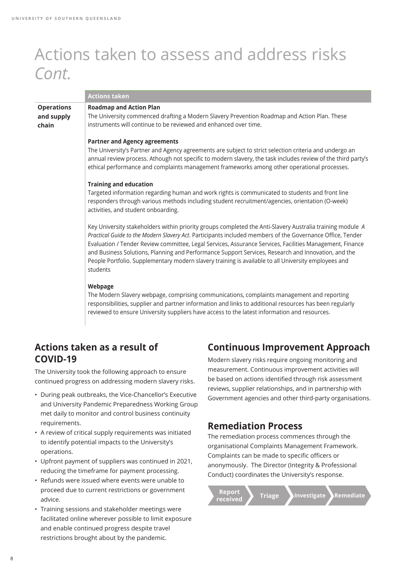### Actions taken to assess and address risks *Cont.*

|                                          | <b>Actions taken</b>                                                                                                                                                                                                                                                                                                                                                                                                                                                                                                                                          |
|------------------------------------------|---------------------------------------------------------------------------------------------------------------------------------------------------------------------------------------------------------------------------------------------------------------------------------------------------------------------------------------------------------------------------------------------------------------------------------------------------------------------------------------------------------------------------------------------------------------|
| <b>Operations</b><br>and supply<br>chain | <b>Roadmap and Action Plan</b><br>The University commenced drafting a Modern Slavery Prevention Roadmap and Action Plan. These<br>instruments will continue to be reviewed and enhanced over time.                                                                                                                                                                                                                                                                                                                                                            |
|                                          | <b>Partner and Agency agreements</b><br>The University's Partner and Agency agreements are subject to strict selection criteria and undergo an<br>annual review process. Athough not specific to modern slavery, the task includes review of the third party's<br>ethical performance and complaints management frameworks among other operational processes.                                                                                                                                                                                                 |
|                                          | <b>Training and education</b><br>Targeted information regarding human and work rights is communicated to students and front line<br>responders through various methods including student recruitment/agencies, orientation (O-week)<br>activities, and student onboarding.                                                                                                                                                                                                                                                                                    |
|                                          | Key University stakeholders within priority groups completed the Anti-Slavery Australia training module A<br>Practical Guide to the Modern Slavery Act. Participants included members of the Governance Office, Tender<br>Evaluation / Tender Review committee, Legal Services, Assurance Services, Facilities Management, Finance<br>and Business Solutions, Planning and Performance Support Services, Research and Innovation, and the<br>People Portfolio. Supplementary modern slavery training is available to all University employees and<br>students |
|                                          | Webpage<br>The Modern Slavery webpage, comprising communications, complaints management and reporting<br>responsibilities, supplier and partner information and links to additional resources has been regularly<br>reviewed to ensure University suppliers have access to the latest information and resources.                                                                                                                                                                                                                                              |

#### **Actions taken as a result of COVID-19**

The University took the following approach to ensure continued progress on addressing modern slavery risks.

- During peak outbreaks, the Vice-Chancellor's Executive and University Pandemic Preparedness Working Group met daily to monitor and control business continuity requirements.
- A review of critical supply requirements was initiated to identify potential impacts to the University's operations.
- Upfront payment of suppliers was continued in 2021, reducing the timeframe for payment processing.
- Refunds were issued where events were unable to proceed due to current restrictions or government advice.
- Training sessions and stakeholder meetings were facilitated online wherever possible to limit exposure and enable continued progress despite travel restrictions brought about by the pandemic.

#### **Continuous Improvement Approach**

Modern slavery risks require ongoing monitoring and measurement. Continuous improvement activities will be based on actions identified through risk assessment reviews, supplier relationships, and in partnership with Government agencies and other third-party organisations.

#### **Remediation Process**

The remediation process commences through the organisational Complaints Management Framework. Complaints can be made to specific officers or anonymously. The Director (Integrity & Professional Conduct) coordinates the University's response.

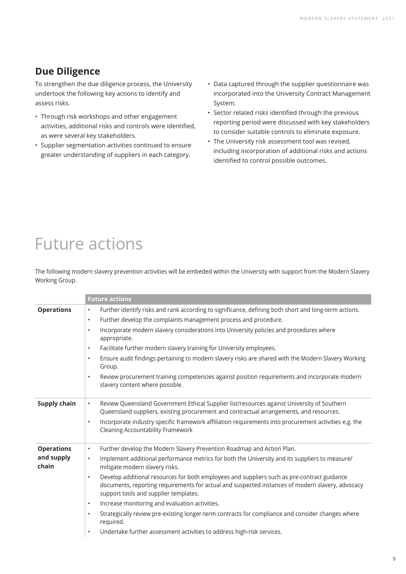#### **Due Diligence**

To strengthen the due diligence process, the University undertook the following key actions to identify and assess risks.

- Through risk workshops and other engagement activities, additional risks and controls were identified, as were several key stakeholders.
- Supplier segmentation activities continued to ensure greater understanding of suppliers in each category.
- Data captured through the supplier questionnaire was incorporated into the University Contract Management System.
- Sector related risks identified through the previous reporting period were discussed with key stakeholders to consider suitable controls to eliminate exposure.
- The University risk assessment tool was revised, including incorporation of additional risks and actions identified to control possible outcomes.

## Future actions

The following modern slavery prevention activities will be embeded within the University with support from the Modern Slavery Working Group.

|                     | <b>Future actions</b>                                                                                                                                                                                                                                 |
|---------------------|-------------------------------------------------------------------------------------------------------------------------------------------------------------------------------------------------------------------------------------------------------|
| <b>Operations</b>   | Further identify risks and rank according to significance, defining both short and long-term actions.<br>$\bullet$                                                                                                                                    |
|                     | Further develop the complaints management process and procedure.<br>$\bullet$                                                                                                                                                                         |
|                     | Incorporate modern slavery considerations into University policies and procedures where<br>$\bullet$<br>appropriate.                                                                                                                                  |
|                     | Facilitate further modern slavery training for University employees.<br>$\bullet$                                                                                                                                                                     |
|                     | Ensure audit findings pertaining to modern slavery risks are shared with the Modern Slavery Working<br>$\bullet$<br>Group.                                                                                                                            |
|                     | Review procurement training competencies against position requirements and incorporate modern<br>$\bullet$<br>slavery content where possible.                                                                                                         |
| <b>Supply chain</b> | Review Queensland Government Ethical Supplier list/resources against University of Southern<br>$\bullet$<br>Queensland suppliers, existing procurement and contractual arrangements, and resources.                                                   |
|                     | Incorporate industry specific framework affiliation requirements into procurement activities e.g. the<br>$\bullet$<br><b>Cleaning Accountability Framework</b>                                                                                        |
| <b>Operations</b>   | Further develop the Modern Slavery Prevention Roadmap and Action Plan.<br>$\bullet$                                                                                                                                                                   |
| and supply<br>chain | Implement additional performance metrics for both the University and its suppliers to measure/<br>$\bullet$<br>mitigate modern slavery risks.                                                                                                         |
|                     | Develop additional resources for both employees and suppliers such as pre-contract guidance<br>$\bullet$<br>documents, reporting requirements for actual and suspected instances of modern slavery, advocacy<br>support tools and supplier templates. |
|                     | Increase monitoring and evaluation activities.<br>$\bullet$                                                                                                                                                                                           |
|                     | Strategically review pre-existing longer-term contracts for compliance and consider changes where<br>$\bullet$<br>required.                                                                                                                           |
|                     | Undertake further assessment activities to address high-risk services.<br>$\bullet$                                                                                                                                                                   |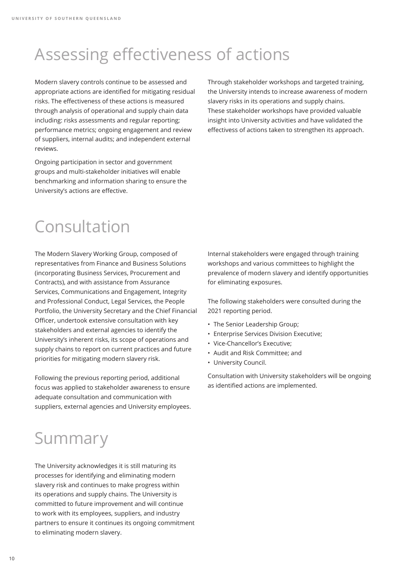## Assessing effectiveness of actions

Modern slavery controls continue to be assessed and appropriate actions are identified for mitigating residual risks. The effectiveness of these actions is measured through analysis of operational and supply chain data including: risks assessments and regular reporting; performance metrics; ongoing engagement and review of suppliers, internal audits; and independent external reviews.

Ongoing participation in sector and government groups and multi-stakeholder initiatives will enable benchmarking and information sharing to ensure the University's actions are effective.

Through stakeholder workshops and targeted training, the University intends to increase awareness of modern slavery risks in its operations and supply chains. These stakeholder workshops have provided valuable insight into University activities and have validated the effectivess of actions taken to strengthen its approach.

## Consultation

The Modern Slavery Working Group, composed of representatives from Finance and Business Solutions (incorporating Business Services, Procurement and Contracts), and with assistance from Assurance Services, Communications and Engagement, Integrity and Professional Conduct, Legal Services, the People Portfolio, the University Secretary and the Chief Financial Officer, undertook extensive consultation with key stakeholders and external agencies to identify the University's inherent risks, its scope of operations and supply chains to report on current practices and future priorities for mitigating modern slavery risk.

Following the previous reporting period, additional focus was applied to stakeholder awareness to ensure adequate consultation and communication with suppliers, external agencies and University employees. Internal stakeholders were engaged through training workshops and various committees to highlight the prevalence of modern slavery and identify opportunities for eliminating exposures.

The following stakeholders were consulted during the 2021 reporting period.

- The Senior Leadership Group;
- Enterprise Services Division Executive;
- Vice-Chancellor's Executive;
- Audit and Risk Committee; and
- University Council.

Consultation with University stakeholders will be ongoing as identified actions are implemented.

## Summary

The University acknowledges it is still maturing its processes for identifying and eliminating modern slavery risk and continues to make progress within its operations and supply chains. The University is committed to future improvement and will continue to work with its employees, suppliers, and industry partners to ensure it continues its ongoing commitment to eliminating modern slavery.